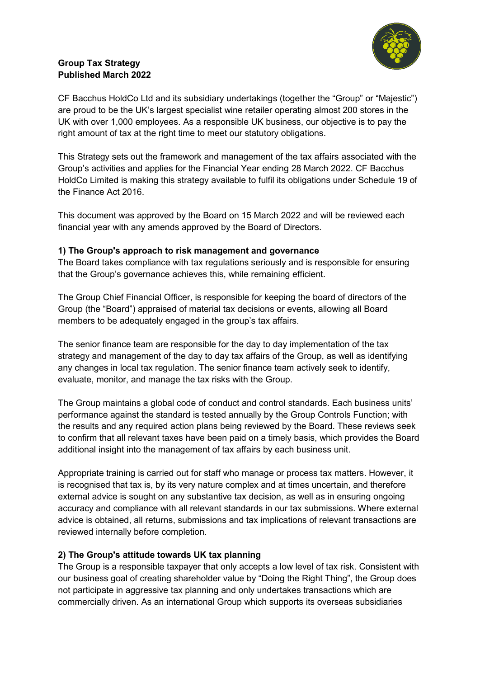

# **Group Tax Strategy Published March 2022**

CF Bacchus HoldCo Ltd and its subsidiary undertakings (together the "Group" or "Majestic") are proud to be the UK's largest specialist wine retailer operating almost 200 stores in the UK with over 1,000 employees. As a responsible UK business, our objective is to pay the right amount of tax at the right time to meet our statutory obligations.

This Strategy sets out the framework and management of the tax affairs associated with the Group's activities and applies for the Financial Year ending 28 March 2022. CF Bacchus HoldCo Limited is making this strategy available to fulfil its obligations under Schedule 19 of the Finance Act 2016.

This document was approved by the Board on 15 March 2022 and will be reviewed each financial year with any amends approved by the Board of Directors.

### **1) The Group's approach to risk management and governance**

The Board takes compliance with tax regulations seriously and is responsible for ensuring that the Group's governance achieves this, while remaining efficient.

The Group Chief Financial Officer, is responsible for keeping the board of directors of the Group (the "Board") appraised of material tax decisions or events, allowing all Board members to be adequately engaged in the group's tax affairs.

The senior finance team are responsible for the day to day implementation of the tax strategy and management of the day to day tax affairs of the Group, as well as identifying any changes in local tax regulation. The senior finance team actively seek to identify, evaluate, monitor, and manage the tax risks with the Group.

The Group maintains a global code of conduct and control standards. Each business units' performance against the standard is tested annually by the Group Controls Function; with the results and any required action plans being reviewed by the Board. These reviews seek to confirm that all relevant taxes have been paid on a timely basis, which provides the Board additional insight into the management of tax affairs by each business unit.

Appropriate training is carried out for staff who manage or process tax matters. However, it is recognised that tax is, by its very nature complex and at times uncertain, and therefore external advice is sought on any substantive tax decision, as well as in ensuring ongoing accuracy and compliance with all relevant standards in our tax submissions. Where external advice is obtained, all returns, submissions and tax implications of relevant transactions are reviewed internally before completion.

## **2) The Group's attitude towards UK tax planning**

The Group is a responsible taxpayer that only accepts a low level of tax risk. Consistent with our business goal of creating shareholder value by "Doing the Right Thing", the Group does not participate in aggressive tax planning and only undertakes transactions which are commercially driven. As an international Group which supports its overseas subsidiaries